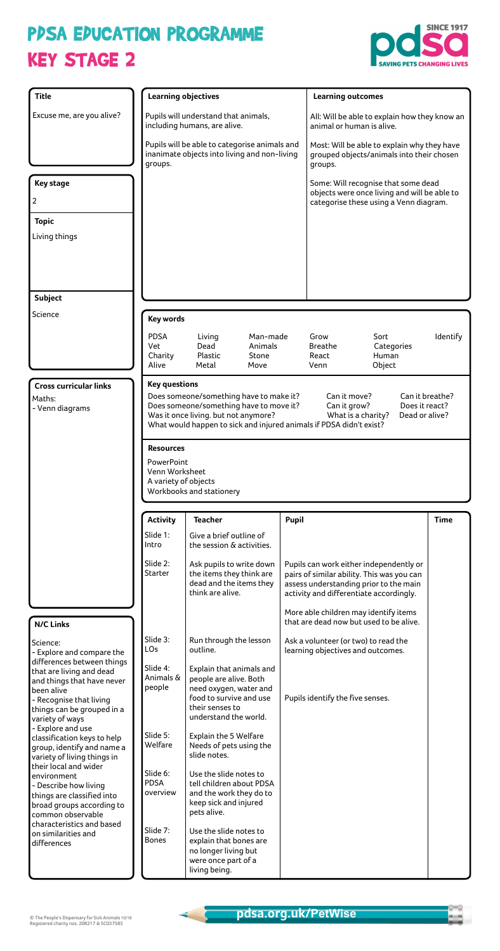## KEY STAGE 2 PPSA EPUCATION PROGRAMME





© The People's Dispensary for Sick Animals 10/18 Registered charity nos. 208217 & SC037585

| <b>Title</b>                                              |                                        | <b>Learning objectives</b>                                                                                                                                                                                                       |                     |                                                                                   |                                                                                       | <b>Learning outcomes</b>                                                                            |                 |  |
|-----------------------------------------------------------|----------------------------------------|----------------------------------------------------------------------------------------------------------------------------------------------------------------------------------------------------------------------------------|---------------------|-----------------------------------------------------------------------------------|---------------------------------------------------------------------------------------|-----------------------------------------------------------------------------------------------------|-----------------|--|
| Excuse me, are you alive?                                 |                                        | Pupils will understand that animals,                                                                                                                                                                                             |                     |                                                                                   |                                                                                       | All: Will be able to explain how they know an                                                       |                 |  |
|                                                           |                                        | including humans, are alive.                                                                                                                                                                                                     |                     |                                                                                   |                                                                                       | animal or human is alive.                                                                           |                 |  |
|                                                           | groups.                                | Pupils will be able to categorise animals and<br>inanimate objects into living and non-living                                                                                                                                    |                     |                                                                                   |                                                                                       | Most: Will be able to explain why they have<br>grouped objects/animals into their chosen<br>groups. |                 |  |
| <b>Key stage</b>                                          |                                        |                                                                                                                                                                                                                                  |                     |                                                                                   |                                                                                       | Some: Will recognise that some dead                                                                 |                 |  |
| 2                                                         |                                        |                                                                                                                                                                                                                                  |                     |                                                                                   |                                                                                       | objects were once living and will be able to<br>categorise these using a Venn diagram.              |                 |  |
| <b>Topic</b>                                              |                                        |                                                                                                                                                                                                                                  |                     |                                                                                   |                                                                                       |                                                                                                     |                 |  |
| Living things                                             |                                        |                                                                                                                                                                                                                                  |                     |                                                                                   |                                                                                       |                                                                                                     |                 |  |
|                                                           |                                        |                                                                                                                                                                                                                                  |                     |                                                                                   |                                                                                       |                                                                                                     |                 |  |
|                                                           |                                        |                                                                                                                                                                                                                                  |                     |                                                                                   |                                                                                       |                                                                                                     |                 |  |
|                                                           |                                        |                                                                                                                                                                                                                                  |                     |                                                                                   |                                                                                       |                                                                                                     |                 |  |
| <b>Subject</b><br>Science                                 |                                        |                                                                                                                                                                                                                                  |                     |                                                                                   |                                                                                       |                                                                                                     |                 |  |
|                                                           |                                        | <b>Key words</b>                                                                                                                                                                                                                 |                     |                                                                                   |                                                                                       |                                                                                                     |                 |  |
|                                                           | <b>PDSA</b><br>Vet                     | Living<br>Dead                                                                                                                                                                                                                   | Man-made<br>Animals |                                                                                   | Grow<br><b>Breathe</b>                                                                | Sort<br>Categories                                                                                  | Identify        |  |
|                                                           | Charity<br>Alive                       | Plastic<br>Metal                                                                                                                                                                                                                 | Stone<br>Move       |                                                                                   | React<br>Venn                                                                         | Human<br>Object                                                                                     |                 |  |
|                                                           |                                        |                                                                                                                                                                                                                                  |                     |                                                                                   |                                                                                       |                                                                                                     |                 |  |
| <b>Cross curricular links</b><br>Maths:                   | <b>Key questions</b>                   | Does someone/something have to make it?                                                                                                                                                                                          |                     |                                                                                   | Can it move?                                                                          |                                                                                                     | Can it breathe? |  |
| - Venn diagrams                                           |                                        | Does someone/something have to move it?<br>Does it react?<br>Can it grow?<br>Was it once living. but not anymore?<br>What is a charity?<br>Dead or alive?<br>What would happen to sick and injured animals if PDSA didn't exist? |                     |                                                                                   |                                                                                       |                                                                                                     |                 |  |
|                                                           |                                        |                                                                                                                                                                                                                                  |                     |                                                                                   |                                                                                       |                                                                                                     |                 |  |
|                                                           | <b>Resources</b>                       |                                                                                                                                                                                                                                  |                     |                                                                                   |                                                                                       |                                                                                                     |                 |  |
|                                                           | PowerPoint                             |                                                                                                                                                                                                                                  |                     |                                                                                   |                                                                                       |                                                                                                     |                 |  |
|                                                           | Venn Worksheet<br>A variety of objects |                                                                                                                                                                                                                                  |                     |                                                                                   |                                                                                       |                                                                                                     |                 |  |
|                                                           |                                        | Workbooks and stationery                                                                                                                                                                                                         |                     |                                                                                   |                                                                                       |                                                                                                     |                 |  |
|                                                           | <b>Activity</b>                        | <b>Teacher</b><br>Pupil<br><b>Time</b>                                                                                                                                                                                           |                     |                                                                                   |                                                                                       |                                                                                                     |                 |  |
|                                                           | Slide 1:<br>Intro                      | Give a brief outline of<br>the session & activities.                                                                                                                                                                             |                     |                                                                                   |                                                                                       |                                                                                                     |                 |  |
|                                                           | Slide 2:<br>Starter                    | Ask pupils to write down<br>the items they think are                                                                                                                                                                             |                     |                                                                                   | Pupils can work either independently or<br>pairs of similar ability. This was you can |                                                                                                     |                 |  |
|                                                           |                                        | dead and the items they<br>think are alive.                                                                                                                                                                                      |                     | assess understanding prior to the main<br>activity and differentiate accordingly. |                                                                                       |                                                                                                     |                 |  |
| <b>N/C Links</b>                                          |                                        |                                                                                                                                                                                                                                  |                     |                                                                                   |                                                                                       | More able children may identify items<br>that are dead now but used to be alive.                    |                 |  |
| Science:                                                  | Slide 3:                               | Run through the lesson                                                                                                                                                                                                           |                     |                                                                                   | Ask a volunteer (or two) to read the                                                  |                                                                                                     |                 |  |
| - Explore and compare the<br>differences between things   | LO <sub>s</sub>                        | outline.                                                                                                                                                                                                                         |                     |                                                                                   | learning objectives and outcomes.                                                     |                                                                                                     |                 |  |
| that are living and dead                                  | Slide 4:<br>Animals &                  | Explain that animals and<br>people are alive. Both                                                                                                                                                                               |                     |                                                                                   |                                                                                       |                                                                                                     |                 |  |
| and things that have never<br>been alive                  | people                                 | need oxygen, water and                                                                                                                                                                                                           |                     |                                                                                   |                                                                                       |                                                                                                     |                 |  |
| - Recognise that living<br>things can be grouped in a     |                                        | food to survive and use<br>their senses to                                                                                                                                                                                       |                     |                                                                                   | Pupils identify the five senses.                                                      |                                                                                                     |                 |  |
| variety of ways<br>- Explore and use                      |                                        | understand the world.                                                                                                                                                                                                            |                     |                                                                                   |                                                                                       |                                                                                                     |                 |  |
| classification keys to help                               | Slide 5:<br>Welfare                    | Explain the 5 Welfare                                                                                                                                                                                                            |                     |                                                                                   |                                                                                       |                                                                                                     |                 |  |
| group, identify and name a<br>variety of living things in |                                        | Needs of pets using the<br>slide notes.                                                                                                                                                                                          |                     |                                                                                   |                                                                                       |                                                                                                     |                 |  |
| their local and wider<br>environment                      | Slide 6:                               | Use the slide notes to                                                                                                                                                                                                           |                     |                                                                                   |                                                                                       |                                                                                                     |                 |  |
| - Describe how living                                     | <b>PDSA</b><br>overview                | tell children about PDSA<br>and the work they do to                                                                                                                                                                              |                     |                                                                                   |                                                                                       |                                                                                                     |                 |  |
| things are classified into<br>broad groups according to   |                                        | keep sick and injured                                                                                                                                                                                                            |                     |                                                                                   |                                                                                       |                                                                                                     |                 |  |
| common observable<br>characteristics and based            |                                        | pets alive.                                                                                                                                                                                                                      |                     |                                                                                   |                                                                                       |                                                                                                     |                 |  |
| on similarities and                                       | Slide 7:<br><b>Bones</b>               | Use the slide notes to<br>explain that bones are                                                                                                                                                                                 |                     |                                                                                   |                                                                                       |                                                                                                     |                 |  |
| differences                                               |                                        | no longer living but<br>were once part of a<br>living being.                                                                                                                                                                     |                     |                                                                                   |                                                                                       |                                                                                                     |                 |  |